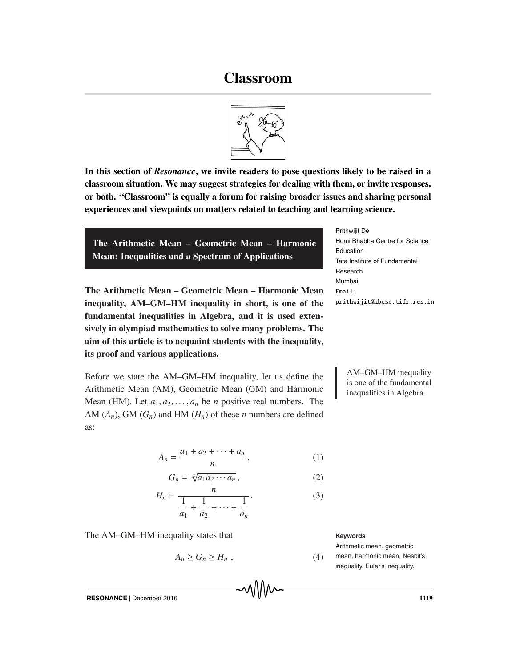# **Classroom**



**In this section of** *Resonance***, we invite readers to pose questions likely to be raised in a classroom situation. We may suggest strategies for dealing with them, or invite responses, or both. "Classroom" is equally a forum for raising broader issues and sharing personal experiences and viewpoints on matters related to teaching and learning science.**

**The Arithmetic Mean – Geometric Mean – Harmonic Mean: Inequalities and a Spectrum of Applications**

**The Arithmetic Mean – Geometric Mean – Harmonic Mean inequality, AM–GM–HM inequality in short, is one of the fundamental inequalities in Algebra, and it is used extensively in olympiad mathematics to solve many problems. The aim of this article is to acquaint students with the inequality, its proof and various applications.**

Before we state the AM–GM–HM inequality, let us define the Arithmetic Mean (AM), Geometric Mean (GM) and Harmonic Mean (HM). Let  $a_1, a_2, \ldots, a_n$  be *n* positive real numbers. The AM  $(A_n)$ , GM  $(G_n)$  and HM  $(H_n)$  of these *n* numbers are defined as:

$$
A_n = \frac{a_1 + a_2 + \dots + a_n}{n},\tag{1}
$$

$$
G_n = \sqrt[n]{a_1 a_2 \cdots a_n} \,, \tag{2}
$$

$$
H_n = \frac{n}{\frac{1}{a_1} + \frac{1}{a_2} + \dots + \frac{1}{a_n}}.
$$
 (3)

The AM–GM–HM inequality states that **Keywords**

$$
A_n \ge G_n \ge H_n , \qquad (4)
$$

#### Prithwijit De

Homi Bhabha Centre for Science Education Tata Institute of Fundamental Research Mumbai  $Email:$ prithwijit@hbcse.tifr.res.in prithwijit@hbcse.tifr.res.in

> AM–GM–HM inequality is one of the fundamental inequalities in Algebra.

Arithmetic mean, geometric mean, harmonic mean, Nesbit's inequality, Euler's inequality.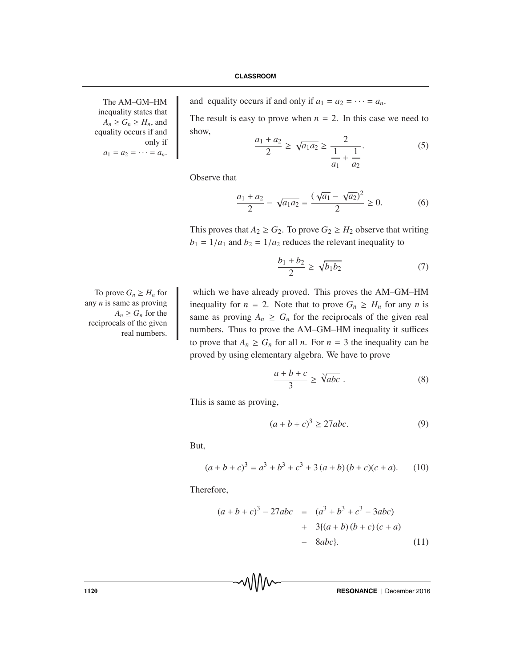The AM-GM-HM inequality states that  $A_n \geq G_n \geq H_n$ , and equality occurs if and only if  $a_1 = a_2 = \cdots = a_n$ .

and equality occurs if and only if  $a_1 = a_2 = \cdots = a_n$ .

The result is easy to prove when  $n = 2$ . In this case we need to show,

$$
\frac{a_1 + a_2}{2} \ge \sqrt{a_1 a_2} \ge \frac{2}{\frac{1}{a_1} + \frac{1}{a_2}}.
$$
 (5)

Observe that

$$
\frac{a_1 + a_2}{2} - \sqrt{a_1 a_2} = \frac{(\sqrt{a_1} - \sqrt{a_2})^2}{2} \ge 0.
$$
 (6)

This proves that  $A_2 \ge G_2$ . To prove  $G_2 \ge H_2$  observe that writing  $b_1 = 1/a_1$  and  $b_2 = 1/a_2$  reduces the relevant inequality to

$$
\frac{b_1 + b_2}{2} \ge \sqrt{b_1 b_2} \tag{7}
$$

To prove  $G_n \geq H_n$  for any *n* is same as proving  $A_n \geq G_n$  for the reciprocals of the given real numbers.

which we have already proved. This proves the AM–GM–HM inequality for  $n = 2$ . Note that to prove  $G_n \geq H_n$  for any *n* is same as proving  $A_n \geq G_n$  for the reciprocals of the given real numbers. Thus to prove the AM–GM–HM inequality it suffices to prove that  $A_n \geq G_n$  for all *n*. For  $n = 3$  the inequality can be proved by using elementary algebra. We have to prove

$$
\frac{a+b+c}{3} \ge \sqrt[3]{abc} \ . \tag{8}
$$

This is same as proving,

$$
(a+b+c)^3 \ge 27abc.
$$
 (9)

But,

$$
(a+b+c)^3 = a^3 + b^3 + c^3 + 3(a+b)(b+c)(c+a). \tag{10}
$$

Therefore,

$$
(a+b+c)^3 - 27abc = (a^3 + b^3 + c^3 - 3abc) + 3{(a+b)(b+c)(c+a)} - 8abc.
$$
 (11)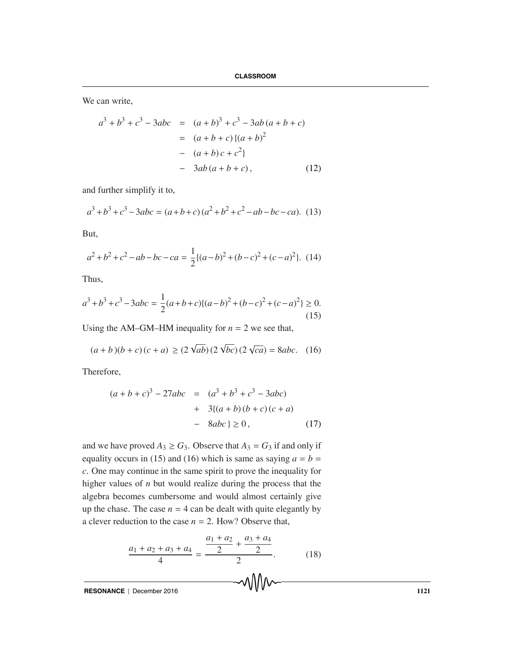We can write,

$$
a^{3} + b^{3} + c^{3} - 3abc = (a + b)^{3} + c^{3} - 3ab(a + b + c)
$$
  
=  $(a + b + c)\{(a + b)^{2}$   
=  $(a + b)c + c^{2}\}$   
=  $3ab(a + b + c)$ , (12)

and further simplify it to,

$$
a^3 + b^3 + c^3 - 3abc = (a+b+c)(a^2 + b^2 + c^2 - ab - bc - ca). \tag{13}
$$

But,

$$
a^{2} + b^{2} + c^{2} - ab - bc - ca = \frac{1}{2}\{(a-b)^{2} + (b-c)^{2} + (c-a)^{2}\}.
$$
 (14)

Thus,

$$
a^{3} + b^{3} + c^{3} - 3abc = \frac{1}{2}(a+b+c)\{(a-b)^{2} + (b-c)^{2} + (c-a)^{2}\} \ge 0.
$$
\n(15)

Using the AM–GM–HM inequality for  $n = 2$  we see that,

$$
(a+b)(b+c)(c+a) \ge (2\sqrt{ab})(2\sqrt{bc})(2\sqrt{ca}) = 8abc. \quad (16)
$$

Therefore,

$$
(a+b+c)^3 - 27abc = (a^3 + b^3 + c^3 - 3abc) + 3{(a+b)(b+c)(c+a)} - 8abc} \ge 0, \qquad (17)
$$

and we have proved  $A_3 \ge G_3$ . Observe that  $A_3 = G_3$  if and only if equality occurs in (15) and (16) which is same as saying  $a = b =$ *c*. One may continue in the same spirit to prove the inequality for higher values of *n* but would realize during the process that the algebra becomes cumbersome and would almost certainly give up the chase. The case  $n = 4$  can be dealt with quite elegantly by a clever reduction to the case  $n = 2$ . How? Observe that,

$$
\frac{a_1 + a_2 + a_3 + a_4}{4} = \frac{\frac{a_1 + a_2}{2} + \frac{a_3 + a_4}{2}}{2}.
$$
 (18)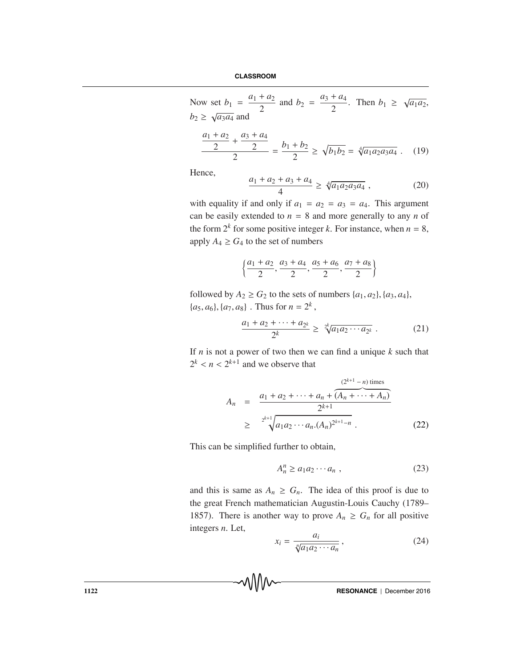Now set  $b_1 = \frac{a_1 + a_2}{2}$  and  $b_2 = \frac{a_3 + a_4}{2}$ . Then  $b_1 \ge \sqrt{a_1 a_2}$ ,  $b_2 \geq \sqrt{a_3 a_4}$  and *a*<sup>1</sup> + *a*<sup>2</sup>  $\frac{+a_2}{2} + \frac{a_3 + a_4}{2}$  $\frac{1}{2}$  =  $\frac{b_1 + b_2}{2} \ge \sqrt{b_1 b_2} = \sqrt[4]{a_1 a_2 a_3 a_4}$  . (19)

Hence,

$$
\frac{a_1 + a_2 + a_3 + a_4}{4} \ge \sqrt[4]{a_1 a_2 a_3 a_4} \,,\tag{20}
$$

with equality if and only if  $a_1 = a_2 = a_3 = a_4$ . This argument can be easily extended to  $n = 8$  and more generally to any *n* of the form  $2^k$  for some positive integer *k*. For instance, when  $n = 8$ , apply  $A_4 \geq G_4$  to the set of numbers

$$
\left\{\frac{a_1+a_2}{2},\frac{a_3+a_4}{2},\frac{a_5+a_6}{2},\frac{a_7+a_8}{2}\right\}
$$

followed by  $A_2 \ge G_2$  to the sets of numbers  $\{a_1, a_2\}$ ,  $\{a_3, a_4\}$ ,  ${a_5, a_6}$ ,  ${a_7, a_8}$ . Thus for  $n = 2^k$ ,

$$
\frac{a_1 + a_2 + \dots + a_{2^k}}{2^k} \ge \sqrt[2k]{a_1 a_2 \cdots a_{2^k}} \ . \tag{21}
$$

If *n* is not a power of two then we can find a unique *k* such that  $2^k < n < 2^{k+1}$  and we observe that

$$
A_n = \frac{a_1 + a_2 + \dots + a_n + \overbrace{(A_n + \dots + A_n)}^{(2^{k+1} - n) \text{ times}}}{2^{k+1}}
$$
  
 
$$
\geq \sqrt[2^{k+1}]{a_1 a_2 \cdots a_n (A_n)^{2^{k+1} - n}}.
$$
 (22)

This can be simplified further to obtain,

$$
A_n^n \ge a_1 a_2 \cdots a_n , \qquad (23)
$$

and this is same as  $A_n \geq G_n$ . The idea of this proof is due to the great French mathematician Augustin-Louis Cauchy (1789– 1857). There is another way to prove  $A_n \geq G_n$  for all positive integers *n*. Let,

$$
x_i = \frac{a_i}{\sqrt[n]{a_1 a_2 \cdots a_n}},\tag{24}
$$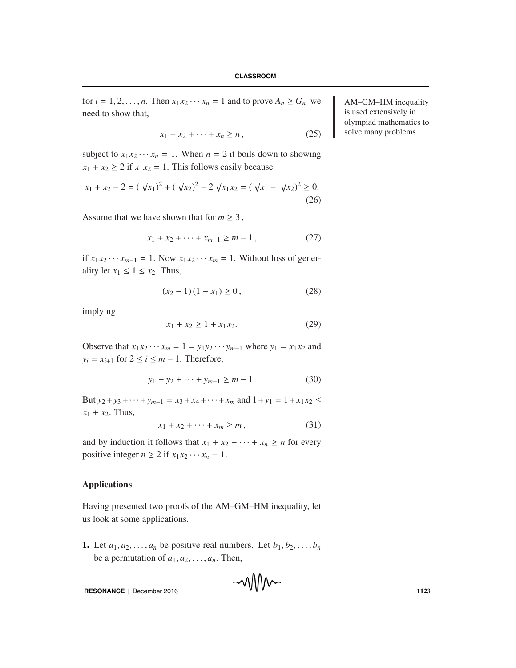for  $i = 1, 2, ..., n$ . Then  $x_1 x_2 \cdots x_n = 1$  and to prove  $A_n \ge G_n$  we AM–GM–HM inequality need to show that,

$$
x_1 + x_2 + \dots + x_n \ge n \,, \tag{25}
$$

subject to  $x_1 x_2 \cdots x_n = 1$ . When  $n = 2$  it boils down to showing  $x_1 + x_2 \ge 2$  if  $x_1 x_2 = 1$ . This follows easily because

$$
x_1 + x_2 - 2 = (\sqrt{x_1})^2 + (\sqrt{x_2})^2 - 2\sqrt{x_1 x_2} = (\sqrt{x_1} - \sqrt{x_2})^2 \ge 0.
$$
\n(26)

Assume that we have shown that for  $m \geq 3$ ,

$$
x_1 + x_2 + \dots + x_{m-1} \ge m - 1, \tag{27}
$$

if  $x_1 x_2 \cdots x_{m-1} = 1$ . Now  $x_1 x_2 \cdots x_m = 1$ . Without loss of generality let  $x_1 \leq 1 \leq x_2$ . Thus,

$$
(x_2 - 1)(1 - x_1) \ge 0, \tag{28}
$$

implying

$$
x_1 + x_2 \ge 1 + x_1 x_2. \tag{29}
$$

Observe that  $x_1 x_2 \cdots x_m = 1 = y_1 y_2 \cdots y_{m-1}$  where  $y_1 = x_1 x_2$  and  $y_i = x_{i+1}$  for  $2 \le i \le m-1$ . Therefore,

$$
y_1 + y_2 + \dots + y_{m-1} \ge m - 1. \tag{30}
$$

But  $y_2 + y_3 + \cdots + y_{m-1} = x_3 + x_4 + \cdots + x_m$  and  $1 + y_1 = 1 + x_1 x_2 \le$  $x_1 + x_2$ . Thus,

$$
x_1 + x_2 + \cdots + x_m \ge m\,,\tag{31}
$$

and by induction it follows that  $x_1 + x_2 + \cdots + x_n \ge n$  for every positive integer  $n \geq 2$  if  $x_1 x_2 \cdots x_n = 1$ .

#### **Applications**

Having presented two proofs of the AM–GM–HM inequality, let us look at some applications.

**1.** Let  $a_1, a_2, \ldots, a_n$  be positive real numbers. Let  $b_1, b_2, \ldots, b_n$ be a permutation of  $a_1, a_2, \ldots, a_n$ . Then,

is used extensively in olympiad mathematics to solve many problems.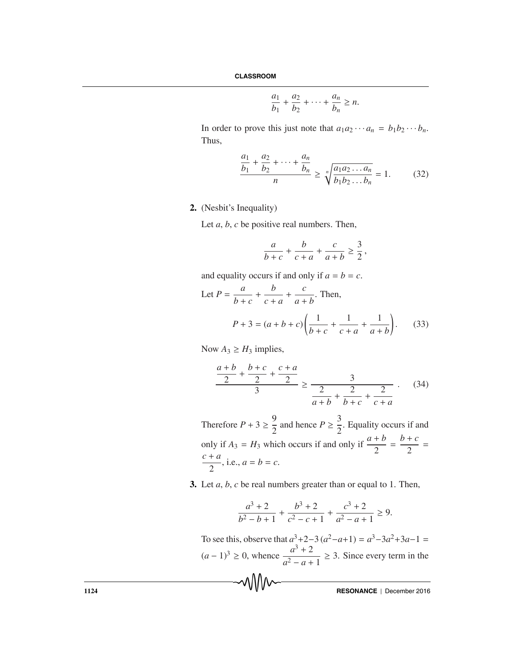$$
\frac{a_1}{b_1} + \frac{a_2}{b_2} + \dots + \frac{a_n}{b_n} \ge n.
$$

In order to prove this just note that  $a_1 a_2 \cdots a_n = b_1 b_2 \cdots b_n$ . Thus,

$$
\frac{a_1}{b_1} + \frac{a_2}{b_2} + \dots + \frac{a_n}{b_n} \ge \sqrt[n]{\frac{a_1 a_2 \dots a_n}{b_1 b_2 \dots b_n}} = 1.
$$
 (32)

**2.** (Nesbit's Inequality)

Let *a*, *b*, *c* be positive real numbers. Then,

$$
\frac{a}{b+c} + \frac{b}{c+a} + \frac{c}{a+b} \ge \frac{3}{2},
$$

and equality occurs if and only if  $a = b = c$ .

Let 
$$
P = \frac{a}{b+c} + \frac{b}{c+a} + \frac{c}{a+b}
$$
. Then,  
\n
$$
P + 3 = (a+b+c) \left( \frac{1}{b+c} + \frac{1}{c+a} + \frac{1}{a+b} \right). \tag{33}
$$

Now  $A_3 \geq H_3$  implies,

$$
\frac{\frac{a+b}{2} + \frac{b+c}{2} + \frac{c+a}{2}}{3} \ge \frac{3}{\frac{2}{a+b} + \frac{2}{b+c} + \frac{2}{c+a}}.
$$
 (34)

Therefore  $P + 3 \ge \frac{9}{2}$  $\frac{9}{2}$  and hence  $P \geq \frac{3}{2}$  $\frac{1}{2}$ . Equality occurs if and only if  $A_3 = H_3$  which occurs if and only if  $\frac{a+b}{2} = \frac{b+c}{2}$  $\frac{c+a}{2}$ , i.e.,  $a = b = c$ .

**3.** Let *a*, *b*, *c* be real numbers greater than or equal to 1. Then,

$$
\frac{a^3+2}{b^2-b+1} + \frac{b^3+2}{c^2-c+1} + \frac{c^3+2}{a^2-a+1} \ge 9.
$$

To see this, observe that  $a^3+2-3(a^2-a+1) = a^3-3a^2+3a-1 =$  $(a-1)^3$  ≥ 0, whence  $\frac{a^3+2}{a^2-a+1}$  ≥ 3. Since every term in the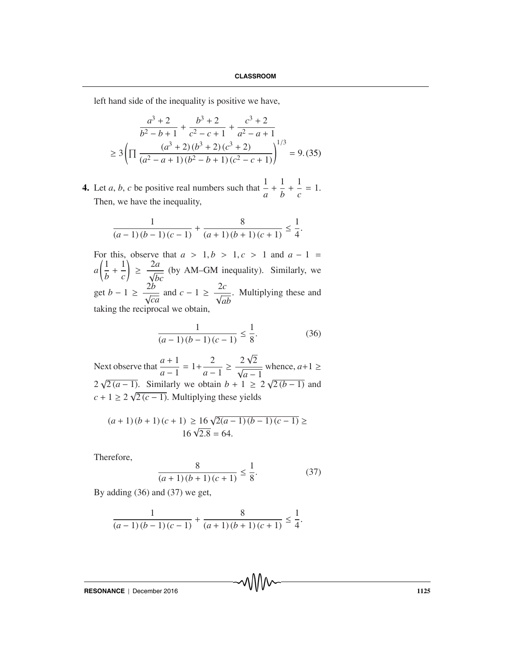left hand side of the inequality is positive we have,

$$
\frac{a^3+2}{b^2-b+1} + \frac{b^3+2}{c^2-c+1} + \frac{c^3+2}{a^2-a+1}
$$
  
\n
$$
\geq 3\left(\prod \frac{(a^3+2)(b^3+2)(c^3+2)}{(a^2-a+1)(b^2-b+1)(c^2-c+1)}\right)^{1/3} = 9.(35)
$$

**4.** Let *a*, *b*, *c* be positive real numbers such that  $\frac{1}{a} + \frac{1}{b}$  $\frac{1}{b} + \frac{1}{c} = 1.$ Then, we have the inequality,

$$
\frac{1}{(a-1)(b-1)(c-1)} + \frac{8}{(a+1)(b+1)(c+1)} \le \frac{1}{4}.
$$

For this, observe that  $a > 1, b > 1, c > 1$  and  $a - 1 =$  $a\left(\frac{1}{1}\right)$  $\frac{1}{b} + \frac{1}{c}$ *c* Ι ≥ 2*a*  $rac{2a}{\sqrt{bc}}$  (by AM–GM inequality). Similarly, we get *b* − 1 ≥  $\frac{2b}{\sqrt{c}}$  $\frac{2b}{\sqrt{ca}}$  and *c* − 1 ≥  $\frac{2c}{\sqrt{a}}$  $\frac{2e}{\sqrt{ab}}$ . Multiplying these and taking the reciprocal we obtain,

$$
\frac{1}{(a-1)(b-1)(c-1)} \le \frac{1}{8}.
$$
 (36)

Next observe that  $\frac{a+1}{a-1} = 1 + \frac{2}{a-1}$  $\frac{a-1}{a-1}$  $2\sqrt{2}$  $\sqrt{a-1}$ whence,  $a+1 \geq$  $2\sqrt{2(a-1)}$ . Similarly we obtain  $b+1 \geq 2\sqrt{2(b-1)}$  and  $c + 1 \ge 2\sqrt{2(c - 1)}$ . Multiplying these yields

$$
(a+1)(b+1)(c+1) \ge 16\sqrt{2(a-1)(b-1)(c-1)} \ge 16\sqrt{2.8} = 64.
$$

Therefore,

$$
\frac{8}{(a+1)(b+1)(c+1)} \le \frac{1}{8}.\tag{37}
$$

By adding (36) and (37) we get,

$$
\frac{1}{(a-1)(b-1)(c-1)} + \frac{8}{(a+1)(b+1)(c+1)} \le \frac{1}{4}.
$$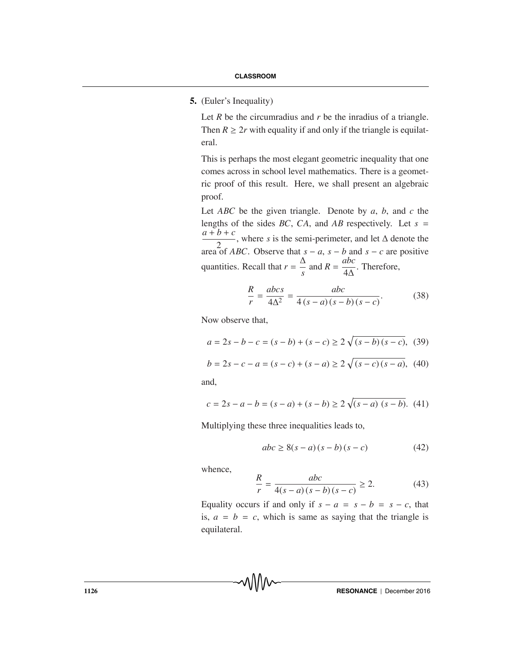**5.** (Euler's Inequality)

Let *R* be the circumradius and *r* be the inradius of a triangle. Then  $R \ge 2r$  with equality if and only if the triangle is equilateral.

This is perhaps the most elegant geometric inequality that one comes across in school level mathematics. There is a geometric proof of this result. Here, we shall present an algebraic proof.

Let *ABC* be the given triangle. Denote by *a*, *b*, and *c* the lengths of the sides *BC*, *CA*, and *AB* respectively. Let  $s = a + b + c$  where *s* is the semi-negimeter and let A denote the  $\frac{2}{2}$ , where *s* is the semi-perimeter, and let  $\Delta$  denote the area of *ABC*. Observe that  $s - a$ ,  $s - b$  and  $s - c$  are positive quantities. Recall that  $r = \frac{\Delta}{s}$  and  $R = \frac{abc}{4\Delta}$ . Therefore,

$$
\frac{R}{r} = \frac{abc s}{4\Delta^2} = \frac{abc}{4(s-a)(s-b)(s-c)}.
$$
 (38)

Now observe that,

$$
a = 2s - b - c = (s - b) + (s - c) \ge 2\sqrt{(s - b)(s - c)},
$$
 (39)

$$
b = 2s - c - a = (s - c) + (s - a) \ge 2\sqrt{(s - c)(s - a)}, (40)
$$

and,

$$
c = 2s - a - b = (s - a) + (s - b) \ge 2\sqrt{(s - a)(s - b)}.
$$
 (41)

Multiplying these three inequalities leads to,

$$
abc \ge 8(s-a)(s-b)(s-c)
$$
 (42)

whence,

$$
\frac{R}{r} = \frac{abc}{4(s-a)(s-b)(s-c)} \ge 2.
$$
 (43)

Equality occurs if and only if  $s - a = s - b = s - c$ , that is,  $a = b = c$ , which is same as saying that the triangle is equilateral.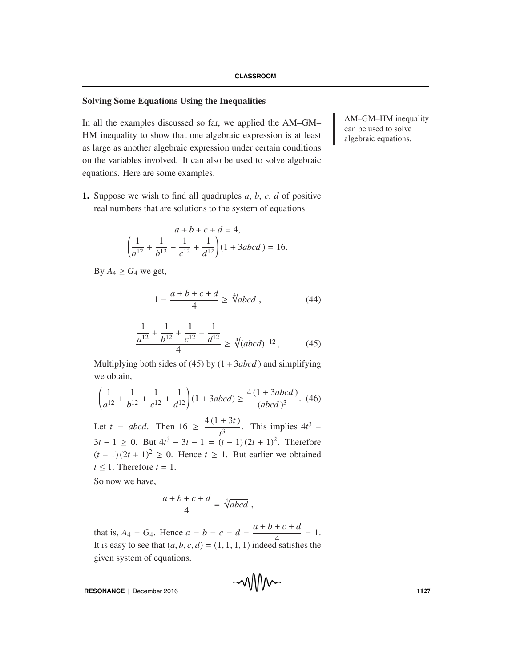# **Solving Some Equations Using the Inequalities**

In all the examples discussed so far, we applied the AM–GM– HM inequality to show that one algebraic expression is at least as large as another algebraic expression under certain conditions on the variables involved. It can also be used to solve algebraic equations. Here are some examples.

**1.** Suppose we wish to find all quadruples *a*, *b*, *c*, *d* of positive real numbers that are solutions to the system of equations

$$
a+b+c+d=4,
$$
  

$$
\left(\frac{1}{a^{12}}+\frac{1}{b^{12}}+\frac{1}{c^{12}}+\frac{1}{d^{12}}\right)(1+3abcd)=16.
$$

By  $A_4 \geq G_4$  we get,

$$
1 = \frac{a+b+c+d}{4} \ge \sqrt[4]{abcd} \,,\tag{44}
$$

$$
\frac{\frac{1}{a^{12}} + \frac{1}{b^{12}} + \frac{1}{c^{12}} + \frac{1}{d^{12}}}{4} \ge \sqrt[4]{(abcd)^{-12}},
$$
 (45)

Multiplying both sides of (45) by (1+ 3*abcd* ) and simplifying we obtain,

$$
\left(\frac{1}{a^{12}} + \frac{1}{b^{12}} + \frac{1}{c^{12}} + \frac{1}{d^{12}}\right)(1 + 3abcd) \ge \frac{4(1 + 3abcd)}{(abcd)^3}.
$$
 (46)

Let *t* = *abcd*. Then  $16 \ge \frac{4(1+3t)}{t^3}$ . This implies  $4t^3$  –  $3t - 1 \ge 0$ . But  $4t^3 - 3t - 1 = (t - 1)(2t + 1)^2$ . Therefore  $(t-1)(2t+1)^2 \geq 0$ . Hence  $t \geq 1$ . But earlier we obtained  $t \leq 1$ . Therefore  $t = 1$ .

So now we have,

$$
\frac{a+b+c+d}{4} = \sqrt[4]{abcd} ,
$$

that is,  $A_4 = G_4$ . Hence  $a = b = c = d = \frac{a+b+c+d}{4} = 1$ . It is easy to see that  $(a, b, c, d) = (1, 1, 1, 1)$  indeed satisfies the given system of equations.

AM–GM–HM inequality can be used to solve algebraic equations.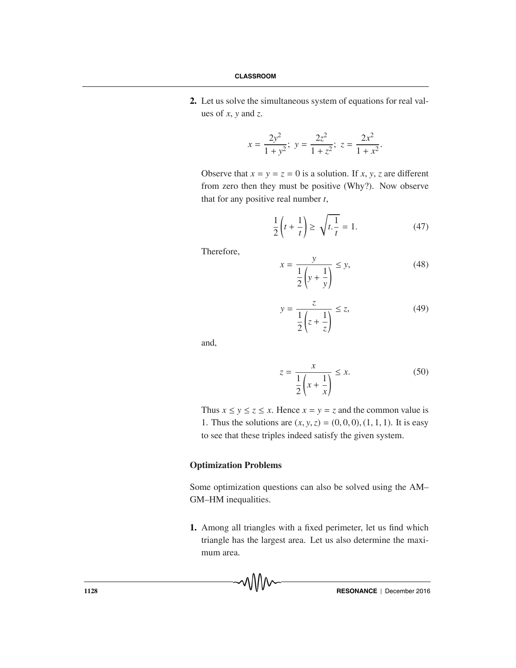**2.** Let us solve the simultaneous system of equations for real values of *x*, *y* and *z*.

$$
x = \frac{2y^2}{1+y^2}; \ y = \frac{2z^2}{1+z^2}; \ z = \frac{2x^2}{1+x^2}.
$$

Observe that  $x = y = z = 0$  is a solution. If *x*, *y*, *z* are different from zero then they must be positive (Why?). Now observe that for any positive real number *t*,

$$
\frac{1}{2}\left(t+\frac{1}{t}\right) \ge \sqrt{t.\frac{1}{t}} = 1.
$$
\n(47)

Therefore,

$$
x = \frac{y}{\frac{1}{2}\left(y + \frac{1}{y}\right)} \le y,\tag{48}
$$

$$
y = \frac{z}{\frac{1}{2}\left(z + \frac{1}{z}\right)} \le z,\tag{49}
$$

and,

$$
z = \frac{x}{\frac{1}{2}\left(x + \frac{1}{x}\right)} \le x.
$$
\n<sup>(50)</sup>

Thus  $x \le y \le z \le x$ . Hence  $x = y = z$  and the common value is 1. Thus the solutions are  $(x, y, z) = (0, 0, 0), (1, 1, 1)$ . It is easy to see that these triples indeed satisfy the given system.

# **Optimization Problems**

Some optimization questions can also be solved using the AM– GM–HM inequalities.

**1.** Among all triangles with a fixed perimeter, let us find which triangle has the largest area. Let us also determine the maximum area.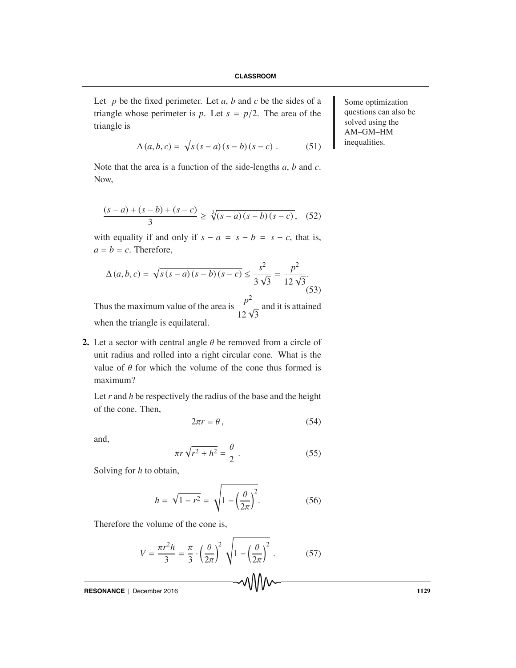Let p be the fixed perimeter. Let a, b and c be the sides of a Some optimization triangle whose perimeter is  $p$ . Let  $s = p/2$ . The area of the triangle is

$$
\Delta(a,b,c) = \sqrt{s(s-a)(s-b)(s-c)}.
$$
 (51)

Note that the area is a function of the side-lengths *a*, *b* and *c*. Now,

$$
\frac{(s-a) + (s-b) + (s-c)}{3} \ge \sqrt[3]{(s-a)(s-b)(s-c)}, \quad (52)
$$

with equality if and only if  $s - a = s - b = s - c$ , that is,  $a = b = c$ . Therefore,

$$
\Delta(a, b, c) = \sqrt{s(s-a)(s-b)(s-c)} \le \frac{s^2}{3\sqrt{3}} = \frac{p^2}{12\sqrt{3}}.
$$
\n(53)

Thus the maximum value of the area is  $\frac{p^2}{\cdots}$  $\frac{12 \sqrt{3}}{2 \sqrt{3}}$ and it is attained when the triangle is equilateral.

**2.** Let a sector with central angle  $\theta$  be removed from a circle of unit radius and rolled into a right circular cone. What is the value of  $\theta$  for which the volume of the cone thus formed is maximum?

Let *r* and *h* be respectively the radius of the base and the height of the cone. Then,

$$
2\pi r = \theta, \tag{54}
$$

and,

$$
\pi r \sqrt{r^2 + h^2} = \frac{\theta}{2} \ . \tag{55}
$$

Solving for *h* to obtain,

$$
h = \sqrt{1 - r^2} = \sqrt{1 - \left(\frac{\theta}{2\pi}\right)^2}.
$$
 (56)

Therefore the volume of the cone is,

$$
V = \frac{\pi r^2 h}{3} = \frac{\pi}{3} \cdot \left(\frac{\theta}{2\pi}\right)^2 \sqrt{1 - \left(\frac{\theta}{2\pi}\right)^2} . \tag{57}
$$

**RESONANCE** | December 2016 **1129**

questions can also be solved using the AM–GM–HM inequalities.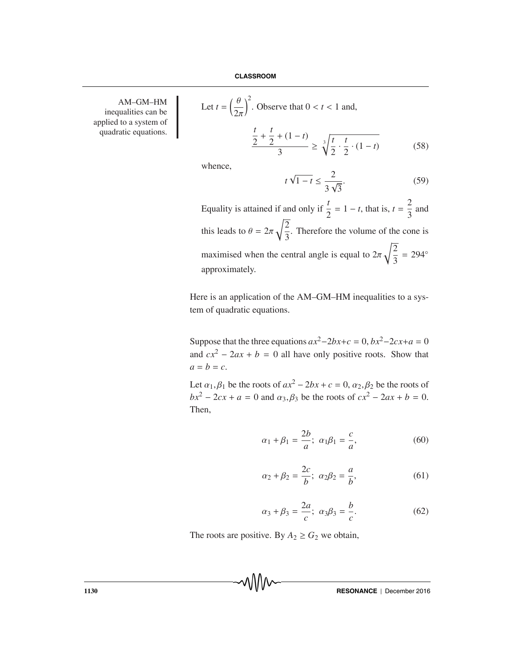AM–GM–HM inequalities can be applied to a system of quadratic equations.

Let 
$$
t = \left(\frac{\theta}{2\pi}\right)^2
$$
. Observe that  $0 < t < 1$  and,  
\n
$$
\frac{\frac{t}{2} + \frac{t}{2} + (1 - t)}{3} \ge \sqrt[3]{\frac{t}{2} \cdot \frac{t}{2} \cdot (1 - t)}
$$
(58)

whence,

$$
t\sqrt{1-t} \le \frac{2}{3\sqrt{3}}.\tag{59}
$$

Equality is attained if and only if  $\frac{t}{2} = 1 - t$ , that is,  $t = \frac{2}{3}$  and this leads to  $\theta = 2\pi$  $\sqrt{2}$  $\frac{2}{3}$ . Therefore the volume of the cone is maximised when the central angle is equal to  $2\pi$  $\sqrt{\frac{2}{3}} = 294^{\circ}$ approximately.

Here is an application of the AM–GM–HM inequalities to a system of quadratic equations.

Suppose that the three equations  $ax^2-2bx+c=0$ ,  $bx^2-2cx+a=0$ and  $cx^2 - 2ax + b = 0$  all have only positive roots. Show that  $a = b = c$ .

Let  $\alpha_1, \beta_1$  be the roots of  $ax^2 - 2bx + c = 0$ ,  $\alpha_2, \beta_2$  be the roots of  $bx^{2} - 2cx + a = 0$  and  $\alpha_{3}, \beta_{3}$  be the roots of  $cx^{2} - 2ax + b = 0$ . Then,

$$
\alpha_1 + \beta_1 = \frac{2b}{a}; \ \alpha_1 \beta_1 = \frac{c}{a}, \tag{60}
$$

$$
\alpha_2 + \beta_2 = \frac{2c}{b}; \ \alpha_2 \beta_2 = \frac{a}{b}, \tag{61}
$$

$$
\alpha_3 + \beta_3 = \frac{2a}{c}; \ \alpha_3 \beta_3 = \frac{b}{c}.
$$
 (62)

The roots are positive. By  $A_2 \ge G_2$  we obtain,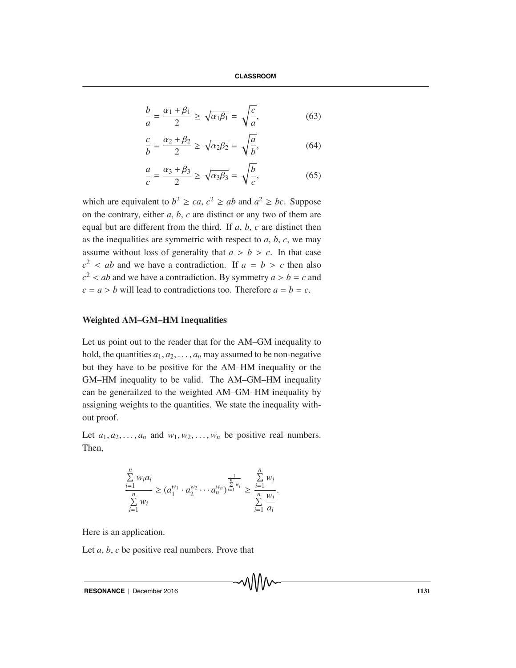$$
\frac{b}{a} = \frac{\alpha_1 + \beta_1}{2} \ge \sqrt{\alpha_1 \beta_1} = \sqrt{\frac{c}{a}},\tag{63}
$$

$$
\frac{c}{b} = \frac{\alpha_2 + \beta_2}{2} \ge \sqrt{\alpha_2 \beta_2} = \sqrt{\frac{a}{b}},\tag{64}
$$

$$
\frac{a}{c} = \frac{\alpha_3 + \beta_3}{2} \ge \sqrt{\alpha_3 \beta_3} = \sqrt{\frac{b}{c}},\tag{65}
$$

which are equivalent to  $b^2 \ge ca, c^2 \ge ab$  and  $a^2 \ge bc$ . Suppose on the contrary, either *a*, *b*, *c* are distinct or any two of them are equal but are different from the third. If *a*, *b*, *c* are distinct then as the inequalities are symmetric with respect to *a*, *b*, *c*, we may assume without loss of generality that  $a > b > c$ . In that case  $c<sup>2</sup> < ab$  and we have a contradiction. If  $a = b > c$  then also  $c<sup>2</sup> < ab$  and we have a contradiction. By symmetry  $a > b = c$  and  $c = a > b$  will lead to contradictions too. Therefore  $a = b = c$ .

### **Weighted AM–GM–HM Inequalities**

Let us point out to the reader that for the AM–GM inequality to hold, the quantities  $a_1, a_2, \ldots, a_n$  may assumed to be non-negative but they have to be positive for the AM–HM inequality or the GM–HM inequality to be valid. The AM–GM–HM inequality can be generailzed to the weighted AM–GM–HM inequality by assigning weights to the quantities. We state the inequality without proof.

Let  $a_1, a_2, \ldots, a_n$  and  $w_1, w_2, \ldots, w_n$  be positive real numbers. Then,

$$
\frac{\sum\limits_{i=1}^{n}w_ia_i}{\sum\limits_{i=1}^{n}w_i} \geq (a_1^{w_1} \cdot a_2^{w_2} \cdots a_n^{w_n})^{\frac{1}{\sum\limits_{i=1}^{n}w_i}} \geq \frac{\sum\limits_{i=1}^{n}w_i}{\sum\limits_{i=1}^{n} \frac{w_i}{a_i}}.
$$

Here is an application.

Let *a*, *b*, *c* be positive real numbers. Prove that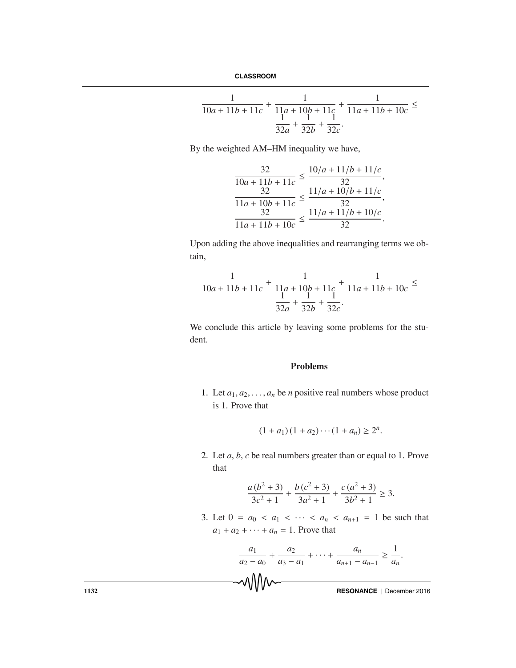$$
\frac{1}{10a+11b+11c} + \frac{1}{11a+10b+11c} + \frac{1}{11a+11b+10c} \le \frac{1}{32a} + \frac{1}{32b} + \frac{1}{32c}.
$$

By the weighted AM–HM inequality we have,

$$
\frac{32}{10a+11b+11c} \le \frac{10/a+11/b+11/c}{32},
$$
  

$$
\frac{32}{11a+10b+11c} \le \frac{11/a+10/b+11/c}{32},
$$
  

$$
\frac{32}{11a+11b+10c} \le \frac{11/a+11/b+10/c}{32}.
$$

Upon adding the above inequalities and rearranging terms we obtain,

$$
\frac{1}{10a+11b+11c} + \frac{1}{11a+10b+11c} + \frac{1}{11a+11b+10c} \le \frac{1}{32a} + \frac{1}{32b} + \frac{1}{32c}.
$$

We conclude this article by leaving some problems for the student.

## **Problems**

1. Let  $a_1, a_2, \ldots, a_n$  be *n* positive real numbers whose product is 1. Prove that

$$
(1 + a_1) (1 + a_2) \cdots (1 + a_n) \ge 2^n.
$$

2. Let *a*, *b*, *c* be real numbers greater than or equal to 1. Prove that

$$
\frac{a(b^2+3)}{3c^2+1} + \frac{b(c^2+3)}{3a^2+1} + \frac{c(a^2+3)}{3b^2+1} \ge 3.
$$

3. Let  $0 = a_0 < a_1 < \cdots < a_n < a_{n+1} = 1$  be such that  $a_1 + a_2 + \cdots + a_n = 1$ . Prove that

$$
\frac{a_1}{a_2 - a_0} + \frac{a_2}{a_3 - a_1} + \dots + \frac{a_n}{a_{n+1} - a_{n-1}} \ge \frac{1}{a_n}.
$$
\nTHESONANCE | December 2016